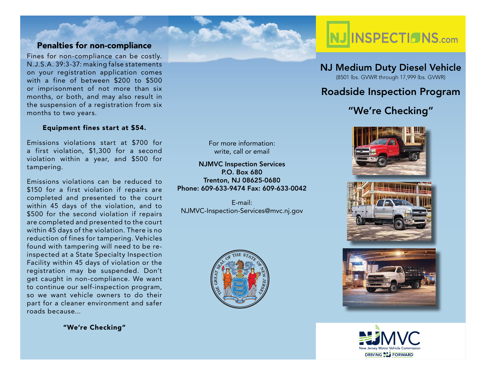## **Penalties for non-compliance**

Fines for non-compliance can be costly. N.J.S.A. 39:3-37: making false statements on your registration application comes with a fine of between \$200 to \$500 or imprisonment of not more than six months, or both, and may also result in the suspension of a registration from six months to two years.

#### **Equipment fines start at \$54.**

Emissions violations start at \$700 for a first violation, \$1,300 for a second violation within a year, and \$500 for tampering.

Emissions violations can be reduced to \$150 for a first violation if repairs are completed and presented to the court within 45 days of the violation, and to \$500 for the second violation if repairs are completed and presented to the court within 45 days of the violation. There is no reduction of fines for tampering. Vehicles found with tampering will need to be reinspected at a State Specialty Inspection Facility within 45 days of violation or the registration may be suspended. Don't get caught in non-compliance. We want to continue our self-inspection program, so we want vehicle owners to do their part for a cleaner environment and safer roads because...

**"We're Checking"**



**NJ Medium Duty Diesel Vehicle** (8501 lbs. GVWR through 17,999 lbs. GVWR)

## **Roadside Inspection Program**

# **"We're Checking"**









For more information:write, call or email

**NJMVC Inspection Services P.O. Box 680Trenton, NJ 08625-0680 Phone: 609-633-9474 Fax: 609-633-0042**

E-mail:NJMVC-Inspection-Services@mvc.nj.gov